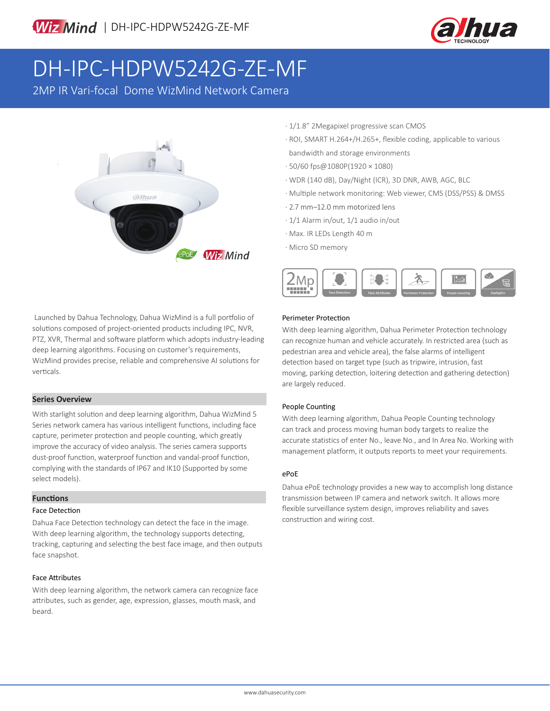

# DH-IPC-HDPW5242G-ZE-MF

2MP IR Vari-focal Dome WizMind Network Camera



- · 1/1.8" 2Megapixel progressive scan CMOS
- · ROI, SMART H.264+/H.265+, flexible coding, applicable to various bandwidth and storage environments
- · 50/60 fps@1080P(1920 × 1080)
- · WDR (140 dB), Day/Night (ICR), 3D DNR, AWB, AGC, BLC
- · Multiple network monitoring: Web viewer, CMS (DSS/PSS) & DMSS
- · 2.7 mm–12.0 mm motorized lens
- · 1/1 Alarm in/out, 1/1 audio in/out
- · Max. IR LEDs Length 40 m
- · Micro SD memory



Launched by Dahua Technology, Dahua WizMind is a full portfolio of solutions composed of project-oriented products including IPC, NVR, PTZ, XVR, Thermal and software platform which adopts industry-leading deep learning algorithms. Focusing on customer's requirements, WizMind provides precise, reliable and comprehensive AI solutions for verticals.

### **Series Overview**

With starlight solution and deep learning algorithm, Dahua WizMind 5 Series network camera has various intelligent functions, including face capture, perimeter protection and people counting, which greatly improve the accuracy of video analysis. The series camera supports dust-proof function, waterproof function and vandal-proof function, complying with the standards of IP67 and IK10 (Supported by some select models).

### **Functions**

#### Face Detection

Dahua Face Detection technology can detect the face in the image. With deep learning algorithm, the technology supports detecting, tracking, capturing and selecting the best face image, and then outputs face snapshot.

### Face Attributes

With deep learning algorithm, the network camera can recognize face attributes, such as gender, age, expression, glasses, mouth mask, and beard.

### Perimeter Protection

With deep learning algorithm, Dahua Perimeter Protection technology can recognize human and vehicle accurately. In restricted area (such as pedestrian area and vehicle area), the false alarms of intelligent detection based on target type (such as tripwire, intrusion, fast moving, parking detection, loitering detection and gathering detection) are largely reduced.

### People Counting

With deep learning algorithm, Dahua People Counting technology can track and process moving human body targets to realize the accurate statistics of enter No., leave No., and In Area No. Working with management platform, it outputs reports to meet your requirements.

### ePoE

Dahua ePoE technology provides a new way to accomplish long distance transmission between IP camera and network switch. It allows more flexible surveillance system design, improves reliability and saves construction and wiring cost.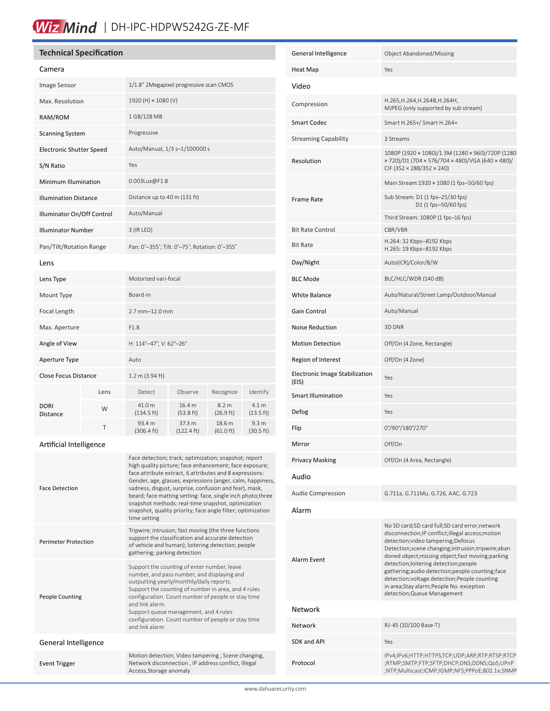## Wiz Mind | DH-IPC-HDPW5242G-ZE-MF

### **Technical Specification**

| Camera |  |
|--------|--|
|        |  |

| <b>Image Sensor</b>             |                                                | 1/1.8" 2Megapixel progressive scan CMOS       |                                |                                         |                                         |  |
|---------------------------------|------------------------------------------------|-----------------------------------------------|--------------------------------|-----------------------------------------|-----------------------------------------|--|
| Max. Resolution                 |                                                | 1920 (H) × 1080 (V)                           |                                |                                         |                                         |  |
| RAM/ROM                         |                                                | 1 GB/128 MB                                   |                                |                                         |                                         |  |
| <b>Scanning System</b>          |                                                | Progressive                                   |                                |                                         |                                         |  |
| <b>Electronic Shutter Speed</b> |                                                | Auto/Manual, 1/3 s-1/100000 s                 |                                |                                         |                                         |  |
| S/N Ratio                       |                                                | Yes                                           |                                |                                         |                                         |  |
| Minimum Illumination            |                                                | 0.003Lux@F1.8                                 |                                |                                         |                                         |  |
| <b>Illumination Distance</b>    |                                                | Distance up to 40 m (131 ft)                  |                                |                                         |                                         |  |
| Illuminator On/Off Control      |                                                | Auto/Manual                                   |                                |                                         |                                         |  |
| <b>Illuminator Number</b>       |                                                | 3 (IR LED)                                    |                                |                                         |                                         |  |
| Pan/Tilt/Rotation Range         |                                                | Pan: 0°-355°; Tilt: 0°-75°; Rotation: 0°-355° |                                |                                         |                                         |  |
| Lens                            |                                                |                                               |                                |                                         |                                         |  |
| Lens Type                       |                                                | Motorized vari-focal                          |                                |                                         |                                         |  |
| Mount Type                      |                                                | Board-in                                      |                                |                                         |                                         |  |
| Focal Length                    |                                                | $2.7$ mm $-12.0$ mm                           |                                |                                         |                                         |  |
| Max. Aperture                   |                                                | F1.8                                          |                                |                                         |                                         |  |
| Angle of View                   |                                                | H: 114°-47°, V: 62°-26°                       |                                |                                         |                                         |  |
| Aperture Type                   |                                                | Auto                                          |                                |                                         |                                         |  |
|                                 | <b>Close Focus Distance</b><br>1.2 m (3.94 ft) |                                               |                                |                                         |                                         |  |
|                                 | Lens                                           | Detect                                        | Observe                        | Recognize                               | Identify                                |  |
| <b>DORI</b><br>Distance         | W                                              | 41.0 m<br>$(134.5 \text{ ft})$                | 16.4 m<br>$(53.8 \text{ ft})$  | 8.2 <sub>m</sub><br>$(26.9 \text{ ft})$ | 4.1 <sub>m</sub><br>$(13.5 \text{ ft})$ |  |
|                                 | T                                              | 93.4 m<br>$(306.4 \text{ ft})$                | 37.3 m<br>$(122.4 \text{ ft})$ | 18.6 m<br>$(61.0 \text{ ft})$           | 9.3 <sub>m</sub><br>$(30.5 \text{ ft})$ |  |
|                                 |                                                |                                               |                                |                                         |                                         |  |

### Artificial Intelligence

| <b>Face Detection</b>       | Face detection; track; optimization; snapshot; report<br>high quality picture; face enhancement; face exposure;<br>face attribute extract, 6 attributes and 8 expressions:<br>Gender, age, glasses, expressions (anger, calm, happiness,<br>sadness, disgust, surprise, confusion and fear), mask,<br>beard; face matting setting: face, single inch photo; three<br>snapshot methods: real-time snapshot, optimization<br>snapshot, quality priority; face angle filter; optimization<br>time setting |
|-----------------------------|--------------------------------------------------------------------------------------------------------------------------------------------------------------------------------------------------------------------------------------------------------------------------------------------------------------------------------------------------------------------------------------------------------------------------------------------------------------------------------------------------------|
| <b>Perimeter Protection</b> | Tripwire; intrusion; fast moving (the three functions<br>support the classification and accurate detection<br>of vehicle and human); loitering detection; people<br>gathering; parking detection                                                                                                                                                                                                                                                                                                       |
| <b>People Counting</b>      | Support the counting of enter number, leave<br>number, and pass number, and displaying and<br>outputting yearly/monthly/daily reports.<br>Support the counting of number in area, and 4 rules<br>configuration. Count number of people or stay time<br>and link alarm<br>Support queue management, and 4 rules<br>configuration. Count number of people or stay time<br>and link alarm                                                                                                                 |
| General Intelligence        |                                                                                                                                                                                                                                                                                                                                                                                                                                                                                                        |
| <b>Event Trigger</b>        | Motion detection, Video tampering, Scene changing,<br>Network disconnection, IP address conflict, Illegal<br>Access, Storage anomaly                                                                                                                                                                                                                                                                                                                                                                   |

| General Intelligence                       | Object Abandoned/Missing                                                                                                                                                                                                                                                                                                                                                                                                                                                      |
|--------------------------------------------|-------------------------------------------------------------------------------------------------------------------------------------------------------------------------------------------------------------------------------------------------------------------------------------------------------------------------------------------------------------------------------------------------------------------------------------------------------------------------------|
| Heat Map                                   | Yes                                                                                                                                                                                                                                                                                                                                                                                                                                                                           |
| Video                                      |                                                                                                                                                                                                                                                                                                                                                                                                                                                                               |
| Compression                                | H.265, H.264, H.264B, H.264H,<br>MJPEG (only supported by sub stream)                                                                                                                                                                                                                                                                                                                                                                                                         |
| <b>Smart Codec</b>                         | Smart H.265+/ Smart H.264+                                                                                                                                                                                                                                                                                                                                                                                                                                                    |
| <b>Streaming Capability</b>                | 3 Streams                                                                                                                                                                                                                                                                                                                                                                                                                                                                     |
| Resolution                                 | 1080P (1920 × 1080)/1.3M (1280 × 960)/720P (1280<br>× 720)/D1 (704 × 576/704 × 480)/VGA (640 × 480)/<br>CIF (352 × 288/352 × 240)                                                                                                                                                                                                                                                                                                                                             |
|                                            | Main Stream:1920 × 1080 (1 fps-50/60 fps)                                                                                                                                                                                                                                                                                                                                                                                                                                     |
| Frame Rate                                 | Sub Stream: D1 (1 fps-25/30 fps)<br>D1 (1 fps-50/60 fps)                                                                                                                                                                                                                                                                                                                                                                                                                      |
|                                            | Third Stream: 1080P (1 fps–16 fps)                                                                                                                                                                                                                                                                                                                                                                                                                                            |
| <b>Bit Rate Control</b><br><b>Bit Rate</b> | CBR/VBR<br>H.264: 32 Kbps-8192 Kbps                                                                                                                                                                                                                                                                                                                                                                                                                                           |
|                                            | H.265: 19 Kbps-8192 Kbps                                                                                                                                                                                                                                                                                                                                                                                                                                                      |
| Day/Night                                  | Auto(ICR)/Color/B/W                                                                                                                                                                                                                                                                                                                                                                                                                                                           |
| <b>BLC Mode</b>                            | BLC/HLC/WDR (140 dB)                                                                                                                                                                                                                                                                                                                                                                                                                                                          |
| <b>White Balance</b>                       | Auto/Natural/Street Lamp/Outdoor/Manual                                                                                                                                                                                                                                                                                                                                                                                                                                       |
| Gain Control                               | Auto/Manual                                                                                                                                                                                                                                                                                                                                                                                                                                                                   |
| <b>Noise Reduction</b>                     | 3D DNR                                                                                                                                                                                                                                                                                                                                                                                                                                                                        |
| <b>Motion Detection</b>                    | Off/On (4 Zone, Rectangle)                                                                                                                                                                                                                                                                                                                                                                                                                                                    |
| Region of Interest                         | Off/On (4 Zone)                                                                                                                                                                                                                                                                                                                                                                                                                                                               |
| Electronic Image Stabilization<br>(EIS)    | Yes                                                                                                                                                                                                                                                                                                                                                                                                                                                                           |
| <b>Smart Illumination</b>                  | Yes                                                                                                                                                                                                                                                                                                                                                                                                                                                                           |
| Defog                                      | Yes                                                                                                                                                                                                                                                                                                                                                                                                                                                                           |
| Flip                                       | 0°/90°/180°/270°                                                                                                                                                                                                                                                                                                                                                                                                                                                              |
| Mirror                                     | Off/On                                                                                                                                                                                                                                                                                                                                                                                                                                                                        |
| <b>Privacy Masking</b>                     | Off/On (4 Area, Rectangle)                                                                                                                                                                                                                                                                                                                                                                                                                                                    |
| Audio                                      |                                                                                                                                                                                                                                                                                                                                                                                                                                                                               |
| <b>Audio Compression</b>                   | G.711a, G.711Mu, G.726, AAC, G.723                                                                                                                                                                                                                                                                                                                                                                                                                                            |
| Alarm                                      |                                                                                                                                                                                                                                                                                                                                                                                                                                                                               |
| Alarm Event                                | No SD card;SD card full;SD card error;network<br>disconnection; IP conflict; illegal access; motion<br>detection; video tampering; Defocus<br>Detection; scene changing; intrusion; tripwire; aban<br>doned object; missing object; fast moving; parking<br>detection;loitering detection;people<br>gathering;audio detection;people counting;face<br>detection; voltage detection; People counting<br>in area;Stay alarm;People No. exception<br>detection; Queue Management |
| Network                                    |                                                                                                                                                                                                                                                                                                                                                                                                                                                                               |
| Network                                    | RJ-45 (10/100 Base-T)                                                                                                                                                                                                                                                                                                                                                                                                                                                         |
| SDK and API                                | Yes                                                                                                                                                                                                                                                                                                                                                                                                                                                                           |
| Protocol                                   | IPv4;IPv6;HTTP;HTTPS;TCP;UDP;ARP;RTP;RTSP;RTCP<br>;RTMP;SMTP;FTP;SFTP;DHCP;DNS;DDNS;QoS;UPnP<br>;NTP;Multicast;ICMP;IGMP;NFS;PPPoE;802.1x;SNMP                                                                                                                                                                                                                                                                                                                                |